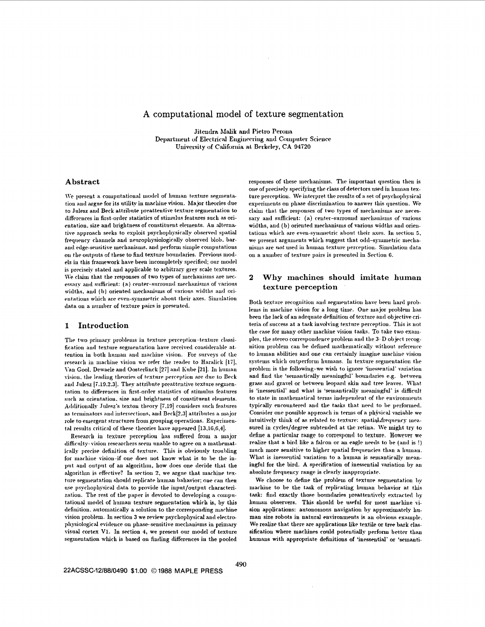# A computational model of texture segmentation

Jitendra Malik and Pietro Perona Department of Electrical Engineering and Computer Science University of California at Berkeley, CA 94720

## Abstract

We present a computational model of human texture segmentation and argue for its utility in machine vision. Major theories due to Julesz and Beck attribute preattentive texture segmentation to differences in first-order statistics of stimulus features such as orientation, size and brightness of constituent elements. An alternative approach seeks to exploit psychophysically observed spatial frequency channels and neurophysiologically observed blob, barand edge-sensitive mechanisms, and perform simple computations on the outputs of these to find texture boundaries. Previous models in this framework have been incompletely specified; our model is precisely stated and applicable to arbitrary grey scale textures. We claim that the responses of two types of mechanisms are necessary and sufficient: (a) center-surround mechanisms of various widths, and (b) oriented mechanisms of various widths and orientations which are even-symmetric about their axes. Simulation data on a number of texture pairs is presented.

## 1 Introduction

The two primary problems in texture perception-texture classification and texture segmentation have received considerable attention in both human and machine vision. For surveys of the research in machine vision we refer the reader to Haralick  $[17]$ , Van Gool, Dewaele and Oosterlinck [27] and Kube [21]. In human vision, the leading theories of texture perception are due to Beck and Julesz [7.19.2.3]. They attribute preattentive texture segmentation to differences in first-order statistics of stimulus features such as orientation, size and brightness of constituent elements. Additionally Julesz's texton theory [7,19] considers such features as terminators and intersections, and Beck[2,3] attributes a major role to emergent structures from grouping operations. Experimental results critical of these theories have appeared [13,16,6,4].

Research in texture perception has suffered from a major difficulty-vision researchers seem unable to agree on a mathematically precise definition of texture. This is obviously troubling for machine vision-if one does not know what is to be the input and output of an algorithm, how does one decide that the algorithm is effective? In section 2, we argue that machine texture segmentation should replicate human bahavior; one can then use psychophysical data to provide the input/output characterization. The rest of the paper is devoted to developing a computational model of human texture segmentation which is, by this definition, automatically a solution to the corresponding machine vision problem. In section 3 we review psychophysical and electrophysiological evidence on phase-sensitive mechanisms in primary visual cortex V1. In section 4, we present our model of texture segmentation which is based on finding differences in the pooled responses of these mechanisms. The important question then is one of precisely specifying the class of detectors used in human texture perception. We interpret the results of a set of psychophysical experiments on phase discrimination to answer this question. We claim that the responses of two types of mechanisms are necessary and sufficient: (a) center-surround mechanisms of various widths, and (b) oriented mechanisms of various widths and orientations which are even-symmetric about their axes. In section 5, we present arguments which suggest that odd-symmetric mechanisms are not used in human texture perception. Simulation data on a number of texture pairs is presented in Section 6.

#### $\boldsymbol{2}$ Why machines should imitate human texture perception

Both texture recognition and segmentation have been hard problems in machine vision for a long time. One major problem has been the lack of an adequate definition of texture and objective criteria of success at a task involving texture perception. This is not the case for many other machine vision tasks. To take two examples, the stereo correspondence problem and the 3-D object recognition problem can be defined mathematically without reference to human abilities and one can certainly imagine machine vision systems which outperform humans. In texture segmentation the problem is the following-we wish to ignore 'inessential' variation and find the 'semantically meaningful' boundaries e.g. between grass and gravel or between leopard skin and tree leaves. What is 'inessential' and what is 'semantically meaningful' is difficult to state in mathematical terms independent of the environments typically encountered and the tasks that need to be performed. Consider one possible approach in terms of a physical variable we intuitively think of as related to texture: spatial.frequency measured in cycles/degree subtended at the retina. We might try to define a particular range to correspond to texture. However we realize that a bird like a falcon or an eagle needs to be (and is!) much more sensitive to higher spatial frequencies than a human. What is inessential variation to a human is semantically meaningful for the bird. A specification of inessential variation by an absolute frequency range is clearly inappropriate.

We choose to define the problem of texture segmentation by machine to be the task of replicating human behavior at this task: find exactly those boundaries preattentively extracted by human observers. This should be useful for most machine vision applications: autonomous navigation by approximately human size robots in natural environments is an obvious example. We realize that there are applications like textile or tree bark classification where machines could potentially perform better than humans with appropriate definitions of 'inessential' or 'semanti-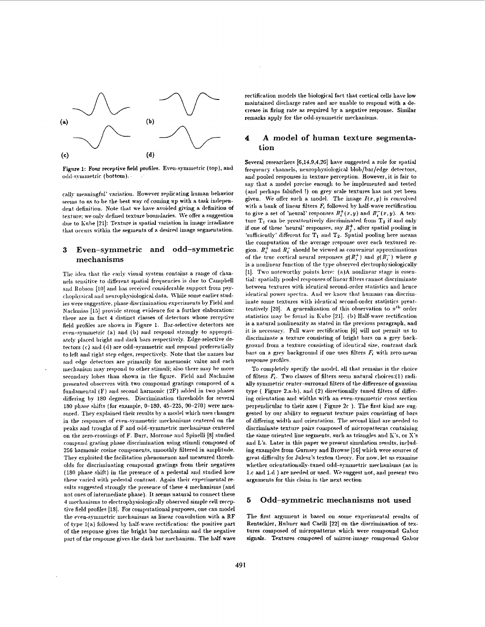

Figure 1: Four receptive field profiles. Even-symmetric (top), and odd-svmmetric (bottom).

cally meaningful' variation. However replicating human behavior seems to us to be the best way of coming up with a task independent definition. Note that we have avoided giving a definition of texture; we only defined texture boundaries. We offer a suggestion due to Kube [21]: Texture is spatial variation in image irradiance that occurs within the segments of a desired image segmentation.

### Even-symmetric and odd-symmetric  $\bf 3$ mechanisms

The idea that the early visual system contains a range of channels sensitive to different spatial frequencies is due to Campbell and Robson [10] and has received considerable support from psychophysical and neurophysiological data. While some earlier studies were suggestive, phase discrimination experiments by Field and Nachmias [15] provide strong evidence for a further elaboration: there are in fact 4 distinct classes of detectors whose receptive field profiles are shown in Figure 1. Bar-selective detectors are even-symmetric (a) and (b) and respond strongly to appropriately placed bright and dark bars respectively. Edge-selective detectors (c) and (d) are odd-symmetric and respond preferentially to left and right step edges, respectively. Note that the names bar and edge detectors are primarily for mnemonic value and each mechanism may respond to other stimuli; also there may be more secondary lobes than shown in the figure. Field and Nachmias presented observers with two compound gratings composed of a fundamental (F) and second harmonic (2F) added in two phases differing by 180 degrees. Discrimination thresholds for several 180 phase shifts (for example, 0-180, 45-225, 90-270) were measured. They explained their results by a model which uses changes in the responses of even-symmetric mechanisms centered on the peaks and troughs of F and odd-symmetric mechanisms centered on the zero-crossings of F. Burr, Morrone and Spinelli [8] studied compund grating phase discrimination using stimuli composed of 256 harmonic cosine components, smoothly filtered in amplitude. They exploited the facilitation phenomenon and measured thresholds for discriminating compound gratings from their negatives (180 phase shift) in the presence of a pedestal and studied how these varied with pedestal contrast. Again their experimental results suggested strongly the presence of these 4 mechanisms (and not ones of intermediate phase). It seems natural to connect these 4 mechanisms to electrophysiologically observed simple cell receptive field profiles [18]. For computational purposes, one can model the even-symmetric mechanisms as linear convolution with a RF of type 1(a) followed by half-wave rectification: the positive part of the response gives the bright bar mechanism and the negative part of the response gives the dark bar mechanism. The half-wave rectification models the biological fact that cortical cells have low maintained discharge rates and are unable to respond with a decrease in firing rate as required by a negative response. Similar remarks apply for the odd-symmetric mechanisms.

### A model of human texture segmenta-4 tion

Several researchers [6,14,9,4,26] have suggested a role for spatial frequency channels, neurophysiological blob/bar/edge detectors, and pooled responses in texture perception. However, it is fair to say that a model precise enough to be implemented and tested (and perhaps falsified !) on grey scale textures has not yet been given. We offer such a model. The image  $I(x, y)$  is convolved with a bank of linear filters  $F_i$  followed by half-wave rectification to give a set of 'neural' responses  $R_t^+(x, y)$  and  $R_t^-(x, y)$ . A texture  $T_1$  can be preattentively discriminated from  $T_2$  if and only if one of these 'neural' responses, say  $R_i^+$ , after spatial pooling is 'sufficiently' different for  $T_1$  and  $T_2$ . Spatial pooling here means the computation of the average response over each textured region.  $R_i^+$  and  $R_i^-$  should be viewed as convenient approximations of the true cortical neural responses  $g(R_i^+)$  and  $g(R_i^-)$  where g is a nonlinear function of the type observed electrophysiologically [1]. Two noteworthy points here: (a)A nonlinear stage is essential: spatially pooled responses of linear filters cannot discriminate between textures with identical second-order statistics and hence identical power spectra. And we know that humans can discriminate some textures with identical second-order statistics preattentively [20]. A generalization of this observation to  $n<sup>th</sup>$  order statistics may be found in Kube [21]. (b) Half-wave rectification is a natural nonlinearity as stated in the previous paragraph, and it is necessary. Full wave rectification [6] will not permit us to discriminate a texture consisting of bright bars on a grey background from a texture consisting of identical size, contrast dark bars on a grey background if one uses filters  $F_i$  with zero-mean response profiles.

To completely specify the model, all that remains is the choice of filters  $F_i$ . Two classes of filters seem natural choices:(1) radially symmetric center-surround filters of the difference of gaussian type (Figure 2.a-b), and (2) directionally tuned filters of differing orientation and widths with an even-symmetric cross section perpendicular to their axes (Figure 2c). The first kind are suggested by our ability to segment texture pairs consisting of bars of differing width and orientation. The second kind are needed to discriminate texture pairs composed of micropatterns containing the same oriented line segments, such as triangles and K's, or X's and L's. Later in this paper we present simulation results, including examples from Gurnsey and Browse [16] which were sources of great difficulty for Julesz's texton theory. For now, let us examine whether orientationally-tuned odd-symmetric mechanisms (as in 1.c and 1.d ) are needed or used. We suggest not, and present two arguments for this claim in the next section

#### Odd-symmetric mechanisms not used  $\mathbf{5}$

The first argument is based on some experimental results of Rentschler, Hubner and Caelli [22] on the discrimination of textures composed of micropatterns which were compound Gabor signals. Textures composed of mirror-image compound Gabor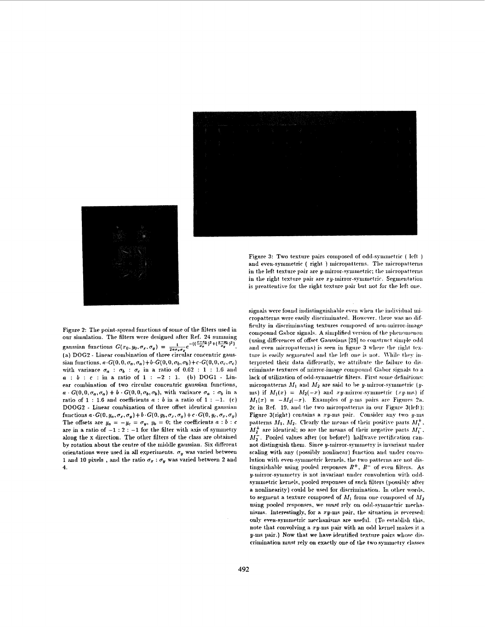|  |  |  |  |  | $\begin{aligned} \frac{1}{2} \left( \frac{1}{2} \left( \frac{1}{2} \right) \left( \frac{1}{2} \right) \left( \frac{1}{2} \right) \left( \frac{1}{2} \right) \left( \frac{1}{2} \right) \left( \frac{1}{2} \right) \left( \frac{1}{2} \right) \left( \frac{1}{2} \right) \left( \frac{1}{2} \right) \left( \frac{1}{2} \right) \left( \frac{1}{2} \right) \left( \frac{1}{2} \right) \left( \frac{1}{2} \right) \left( \frac{1}{2} \right) \left( \frac{1}{2} \right) \left($ |  |  |  |
|--|--|--|--|--|------------------------------------------------------------------------------------------------------------------------------------------------------------------------------------------------------------------------------------------------------------------------------------------------------------------------------------------------------------------------------------------------------------------------------------------------------------------------------|--|--|--|
|  |  |  |  |  |                                                                                                                                                                                                                                                                                                                                                                                                                                                                              |  |  |  |
|  |  |  |  |  | an di kacamatan Sulawesi Sulawesi Sulawesi Sulawesi Sulawesi Sulawesi Sulawesi Sulawesi Sulawesi Sulawesi Sula<br>Sulawesi Sulawesi Sulawesi Sulawesi Sulawesi Sulawesi Sulawesi Sulawesi Sulawesi Sulawesi Sulawesi Sulawesi Su                                                                                                                                                                                                                                             |  |  |  |
|  |  |  |  |  |                                                                                                                                                                                                                                                                                                                                                                                                                                                                              |  |  |  |
|  |  |  |  |  |                                                                                                                                                                                                                                                                                                                                                                                                                                                                              |  |  |  |
|  |  |  |  |  |                                                                                                                                                                                                                                                                                                                                                                                                                                                                              |  |  |  |
|  |  |  |  |  |                                                                                                                                                                                                                                                                                                                                                                                                                                                                              |  |  |  |



Figure 3: Two texture pairs composed of odd-symmetric (left) and even-symmetric (right) micropatterns. The micropatterns in the left texture pair are y-mirror-symmetric; the micropatterns in the right texture pair are  $xy$ -mirror-symmetric. Segmentation is preattentive for the right texture pair but not for the left one.

Figure 2: The point-spread functions of some of the filters used in our simulation. The filters were designed after Ref. 24 summing gaussian functions  $G(x_0, y_0, \sigma_x, \sigma_y) = \frac{1}{2\pi\sigma_x\sigma_y}e^{-\left(\left(\frac{x-x_0}{\sigma_x}\right)^2 + \left(\frac{y-y_0}{\sigma_y}\right)^2\right)}$ (a) DOG2 - Linear combination of three circular concentric gaussian functions,  $a \cdot G(0, 0, \sigma_a, \sigma_a) + b \cdot G(0, 0, \sigma_b, \sigma_b) + c \cdot G(0, 0, \sigma_c, \sigma_c)$ with variance  $\sigma_a$ :  $\sigma_b$ :  $\sigma_c$  in a ratio of 0.62: 1: 1.6 and  $a : b : c :$  in a ratio of  $1 : -2 : 1$ . (b) DOG1 - Linear combination of two circular concentric gaussian functions,  $a \cdot G(0,0,\sigma_a,\sigma_a) + b \cdot G(0,0,\sigma_b,\sigma_b)$ , with variance  $\sigma_a : \sigma_b$  in a ratio of 1 : 1.6 and coefficients  $a : b$  in a ratio of 1 : -1. (c) DOOG2 - Linear combination of three offset identical gaussian functions  $a\cdot G(0,y_a,\sigma_x,\sigma_y)+b\cdot G(0,y_b,\sigma_x,\sigma_y)+c\cdot G(0,y_c,\sigma_x,\sigma_y)$ The offsets are  $y_{\alpha} = -y_c = \sigma_y$ ,  $y_b = 0$ ; the coefficients  $a : b : c$ are in a ratio of  $-1:2:-1$  for the filter with axis of symmetry along the x direction. The other filters of the class are obtained by rotation about the centre of the middle gaussian. Six different orientations were used in all experiments.  $\sigma_y$  was varied between 1 and 10 pixels, and the ratio  $\sigma_x : \sigma_y$  was varied between 2 and  $\boldsymbol{4}$ .

signals were found indistinguishable even when the individual micropatterns were easily discriminated. However, there was no difficulty in discriminating textures composed of non-mirror-image compound Gabor signals. A simplified version of the phenomenon (using differences of offset Gaussians [28] to construct simple odd and even micropatterns) is seen in figure 3 where the right texture is easily segmented and the left one is not. While they interpreted their data differently, we attribute the failure to discriminate textures of mirror-image compound Gabor signals to a lack of utilization of odd-symmetric filters. First some definitions: micropatterns  $M_1$  and  $M_2$  are said to be y-mirror-symmetric (yms) if  $M_1(x) = M_2(-x)$  and xy-mirror-symmetric (xy-ms) if  $M_1(x) = -M_2(-x)$ . Examples of y-ms pairs are Figures 2a. 2c in Ref. 19, and the two micropatterns in our Figure 3(left): Figure 3(right) contains a  $xy$ -ms pair. Consider any two  $y$ -ms patterns  $M_1$ ,  $M_2$ . Clearly the means of their positive parts  $M_1^+$ .  $M_2^+$  are identical; so are the means of their negative parts  $M_1^-$ ,  $M_2^-$ . Pooled values after (or before!) halfwave rectification cannot distinguish them. Since y-mirror-symmetry is invariant under scaling with any (possibly nonlinear) function and under convolution with even-symmetric kernels, the two patterns are not distinguishable using pooled responses  $R^+$ ,  $R^-$  of even filters. As y-mirror-symmetry is not invariant under convolution with oddsymmetric kernels, pooled responses of such filters (possibly after a nonlinearity) could be used for discrimination. In other words, to segment a texture composed of  $M_1$  from one composed of  $M_2$ using pooled responses, we must rely on odd-symmetric mechanisms. Interestingly, for a  $xy$ -ms pair, the situation is reversed: only even-symmetric mechanisms are useful. (To establish this, note that convolving a  $xy$ -ms pair with an odd kernel makes it a y-ms pair.) Now that we have identified texture pairs whose discrimination must rely on exactly one of the two symmetry classes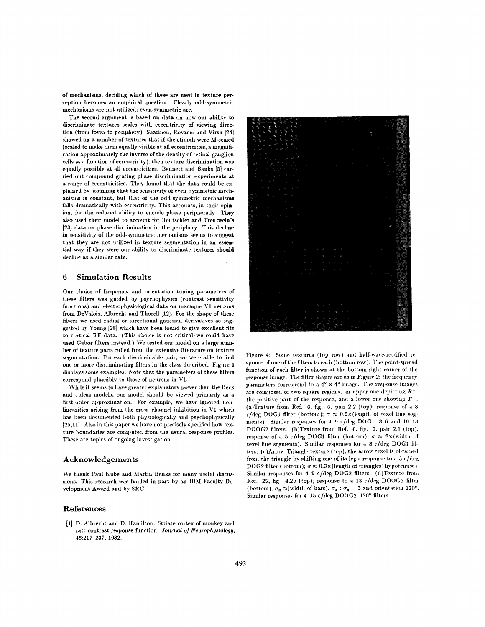of mechanisms, deciding which of these are used in texture perception becomes an empirical question. Clearly odd-symmetric mechanisms are not utilized; even-symmetric are.

The second argument is based on data on how our ability to discriminate textures scales with eccentricity of viewing direction (from fovea to periphery). Saarinen, Rovamo and Virsu [24] showed on a number of textures that if the stimuli were M-scaled (scaled to make them equally visible at all eccentricities, a magnification approximately the inverse of the density of retinal ganglion cells as a function of eccentricity), then texture discrimination was equally possible at all eccentricities. Bennett and Banks [5] carried out compound grating phase discrimination experiments at a range of eccentricities. They found that the data could be explained by assuming that the sensitivity of even-symmetric mechanisms is constant, but that of the odd-symmetric mechanisms falls dramatically with eccentricity. This accounts, in their opinion, for the reduced ability to encode phase peripherally. They also used their model to account for Rentschler and Treutwein's [23] data on phase discrimination in the periphery. This decline in sensitivity of the odd-symmetric mechanisms seems to suggest that they are not utilized in texture segmentation in an essential way-if they were our ability to discriminate textures should decline at a similar rate.

#### **Simulation Results** 6

Our choice of frequency and orientation tuning parameters of these filters was guided by psychophysics (contrast sensitivity functions) and electrophysiological data on macaque V1 neurons from DeValois, Albrecht and Thorell [12]. For the shape of these filters we used radial or directional gaussian derivatives as suggested by Young [28] which have been found to give excellent fits to cortical RF data. (This choice is not critical-we could have used Gabor filters instead.) We tested our model on a large number of texture pairs culled from the extensive literature on texture segmentation. For each discriminable pair, we were able to find one or more discriminating filters in the class described. Figure 4 displays some examples. Note that the parameters of these filters correspond plausibly to those of neurons in V1.

While it seems to have greater explanatory power than the Beck and Julesz models, our model should be viewed primarily as a first-order approximation. For example, we have ignored nonlinearities arising from the cross-channel inhibition in V1 which has been documented both physiologically and psychophysically [25,11]. Also in this paper we have not precisely specified how texture boundaries are computed from the neural response profiles. These are topics of ongoing investigation.

### Acknowledgements

We thank Paul Kube and Martin Banks for many useful discussions. This research was funded in part by an IBM Faculty Development Award and by SRC.

## References

[1] D. Albrecht and D. Hamilton. Striate cortex of monkey and cat: contrast response function. Journal of Neurophysiology, 48:217-237, 1982.



Figure 4: Some textures (top row) and half-wave-rectified response of one of the filters to each (bottom row). The point-spread function of each filter is shown at the bottom-right corner of the response image. The filter shapes are as in Figure 2; the frequency parameters correspond to a  $4^{\circ} \times 4^{\circ}$  image. The response images are composed of two square regions, an upper one depicting  $R^+$ . the positive part of the response, and a lower one showing  $R^-$ . (a)Texture from Ref. 6, fig. 6, pair 2.2 (top); response of a 8 c/deg DOG1 filter (bottom);  $\sigma \approx 0.5 \times$  (length of texel line segments). Similar responses for 4 9 c/deg DOG1, 3 6 and 10 13 DOOG2 filters. (b)Texture from Ref. 6, fig. 6, pair 2.1 (top). response of a 5 c/deg DOG1 filter (bottom);  $\sigma \approx 2 \times$  (width of texel line segments). Similar responses for 4-8 c/deg DOG1 filters. (c)Arrow-Triangle texture (top), the arrow texel is obtained from the triangle by shifting one of its legs; response to a 5 c/deg DOG2 filter (bottom);  $\sigma \approx 0.3 \times$  (length of triangles' hypotenuse). Similar responses for 4-9 c/deg DOG2 filters. (d)Texture from Ref. 25, fig. 4.2b (top); response to a 13 c/deg DOOG2 filter (bottom);  $\sigma_y \approx$ (width of bars),  $\sigma_x : \sigma_y = 3$  and orientation 120°. Similar responses for 4-15 c/deg DOOG2 120° filters.